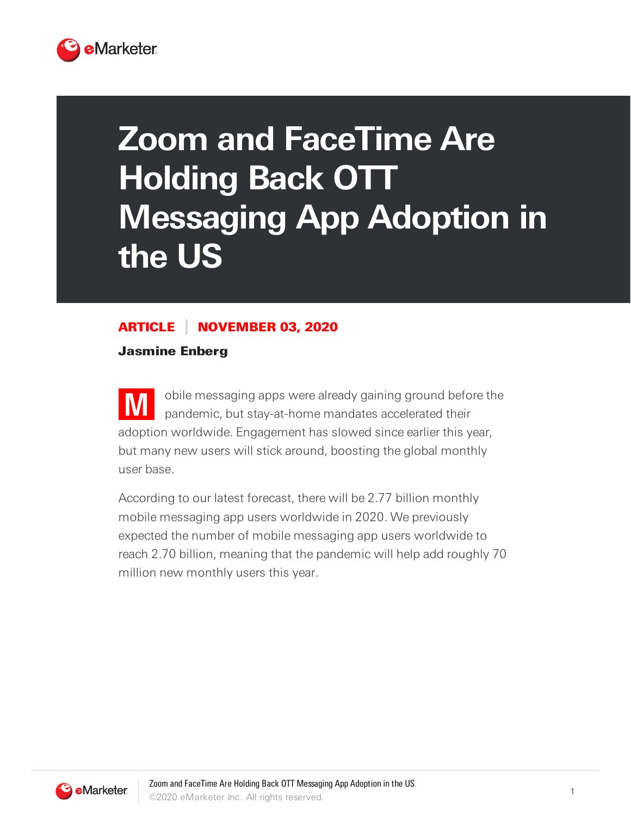

## **Zoom and FaceTime Are Holding Back OTT Messaging App Adoption in the US**

## ARTICLE NOVEMBER 03, 2020

Jasmine Enberg

**M** obile messaging apps were already gaining ground before the pandemic, but stay-at-home mandates accelerated their adoption worldwide. Engagement has slowed since earlier this year, but many new users will stick around, boosting the global monthly user base.

According to our latest forecast, there will be 2.77 billion monthly mobile messaging app users worldwide in 2020. We previously expected the number of mobile messaging app users worldwide to reach 2.70 billion, meaning that the pandemic will help add roughly 70 million new monthly users this year.

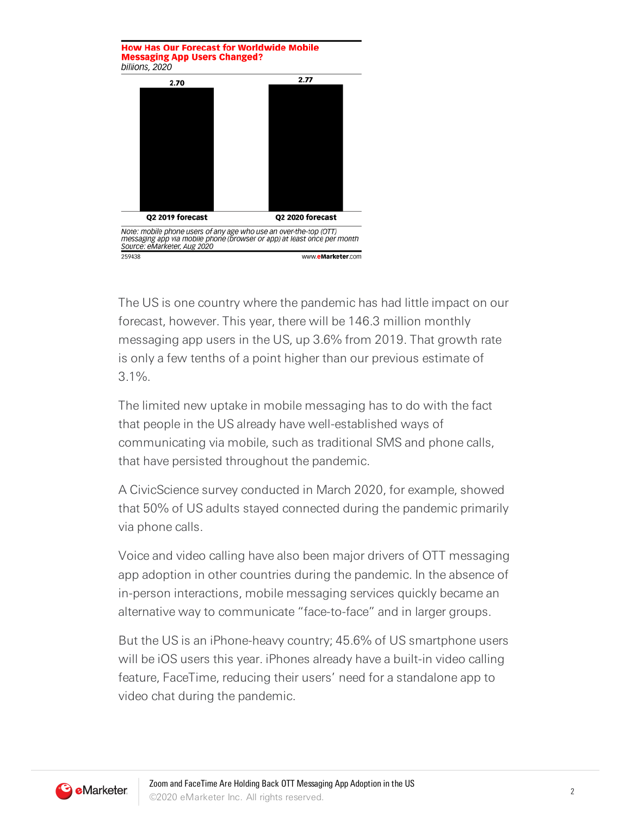**How Has Our Forecast for Worldwide Mobile Messaging App Users Changed?** billions, 2020  $2.77$ 2.70 Q2 2019 forecast O2 2020 forecast Note: mobile phone users of any age who use an over-the-top (OTT) messaging app via mobile phone (browser or app) at least once per month<br>Source: eMarketer, Aug 2020 259438 www.eMarketer.com

The US is one country where the pandemic has had little impact on our forecast, however. This year, there will be 146.3 million monthly messaging app users in the US, up 3.6% from 2019. That growth rate is only a few tenths of a point higher than our previous estimate of 3.1%.

The limited new uptake in mobile messaging has to do with the fact that people in the US already have well-established ways of communicating via mobile, such as traditional SMS and phone calls, that have persisted throughout the pandemic.

A CivicScience survey conducted in March 2020, for example, showed that 50% of US adults stayed connected during the pandemic primarily via phone calls.

Voice and video calling have also been major drivers of OTT messaging app adoption in other countries during the pandemic. In the absence of in-person interactions, mobile messaging services quickly became an alternative way to communicate "face-to-face" and in larger groups.

But the US is an iPhone-heavy country; 45.6% of US smartphone users will be iOS users this year. iPhones already have a built-in video calling feature, FaceTime, reducing their users' need for a standalone app to video chat during the pandemic.